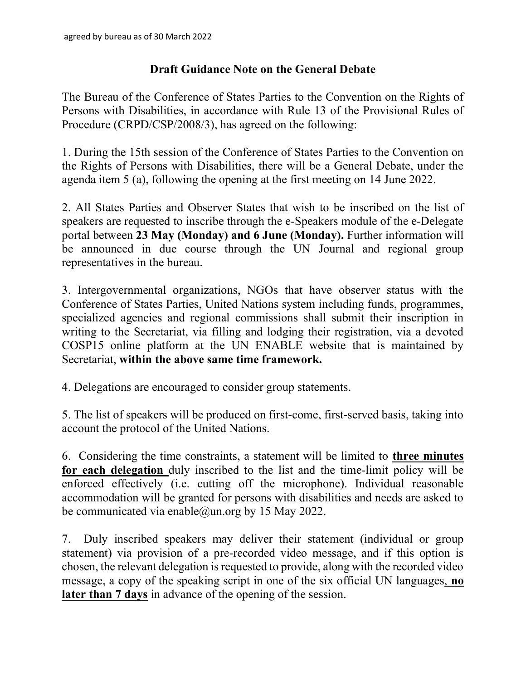## Draft Guidance Note on the General Debate

The Bureau of the Conference of States Parties to the Convention on the Rights of Persons with Disabilities, in accordance with Rule 13 of the Provisional Rules of Procedure (CRPD/CSP/2008/3), has agreed on the following:

1. During the 15th session of the Conference of States Parties to the Convention on the Rights of Persons with Disabilities, there will be a General Debate, under the agenda item 5 (a), following the opening at the first meeting on 14 June 2022.

2. All States Parties and Observer States that wish to be inscribed on the list of speakers are requested to inscribe through the e-Speakers module of the e-Delegate portal between 23 May (Monday) and 6 June (Monday). Further information will be announced in due course through the UN Journal and regional group representatives in the bureau.

3. Intergovernmental organizations, NGOs that have observer status with the Conference of States Parties, United Nations system including funds, programmes, specialized agencies and regional commissions shall submit their inscription in writing to the Secretariat, via filling and lodging their registration, via a devoted COSP15 online platform at the UN ENABLE website that is maintained by Secretariat, within the above same time framework.

4. Delegations are encouraged to consider group statements.

5. The list of speakers will be produced on first-come, first-served basis, taking into account the protocol of the United Nations.

6. Considering the time constraints, a statement will be limited to three minutes for each delegation duly inscribed to the list and the time-limit policy will be enforced effectively (i.e. cutting off the microphone). Individual reasonable accommodation will be granted for persons with disabilities and needs are asked to be communicated via enable@un.org by 15 May 2022.

7. Duly inscribed speakers may deliver their statement (individual or group statement) via provision of a pre-recorded video message, and if this option is chosen, the relevant delegation is requested to provide, along with the recorded video message, a copy of the speaking script in one of the six official UN languages, no later than 7 days in advance of the opening of the session.